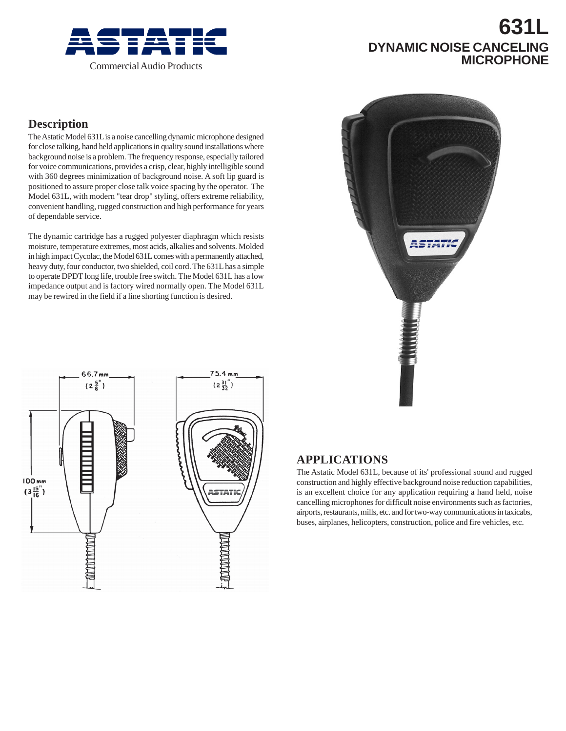

# **631L DYNAMIC NOISE CANCELING**

## **Description**

The Astatic Model 631L is a noise cancelling dynamic microphone designed for close talking, hand held applications in quality sound installations where background noise is a problem. The frequency response, especially tailored for voice communications, provides a crisp, clear, highly intelligible sound with 360 degrees minimization of background noise. A soft lip guard is positioned to assure proper close talk voice spacing by the operator. The Model 631L, with modern "tear drop" styling, offers extreme reliability, convenient handling, rugged construction and high performance for years of dependable service.

The dynamic cartridge has a rugged polyester diaphragm which resists moisture, temperature extremes, most acids, alkalies and solvents. Molded in high impact Cycolac, the Model 631L comes with a permanently attached, heavy duty, four conductor, two shielded, coil cord. The 631L has a simple to operate DPDT long life, trouble free switch. The Model 631L has a low impedance output and is factory wired normally open. The Model 631L may be rewired in the field if a line shorting function is desired.





## **APPLICATIONS**

The Astatic Model 631L, because of its' professional sound and rugged construction and highly effective background noise reduction capabilities, is an excellent choice for any application requiring a hand held, noise cancelling microphones for difficult noise environments such as factories, airports, restaurants, mills, etc. and for two-way communications in taxicabs, buses, airplanes, helicopters, construction, police and fire vehicles, etc.